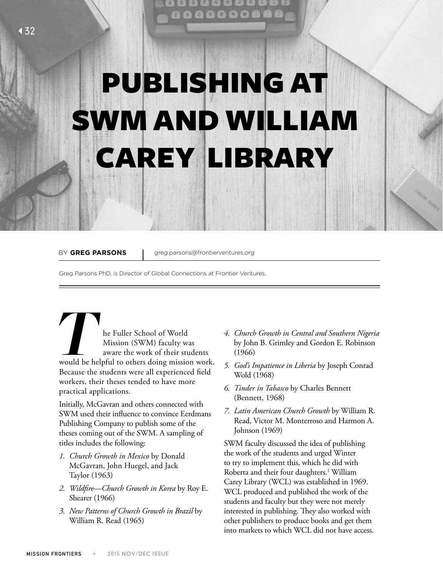## PUBLISHING AT SWM AND WILLIAM CAREY LIBRARY

BY GREG PARSONS | greg.parsons@frontierventures.org

Greg Parsons PhD, is Director of Global Connections at Frontier Ventures.

**The Fuller School of World Mission (SWM) faculty was aware the work of their students would be helpful to others doing mission work.** Mission (SWM) faculty was aware the work of their students Because the students were all experienced field workers, their theses tended to have more practical applications.

Initially, McGavran and others connected with SWM used their influence to convince Eerdmans Publishing Company to publish some of the theses coming out of the SWM. A sampling of titles includes the following:

- *1. Church Growth in Mexico* by Donald McGavran, John Huegel, and Jack Taylor (1963)
- *2. Wildfire—Church Growth in Korea* by Roy E. Shearer (1966)
- *3. New Patterns of Church Growth in Brazil* by William R. Read (1965)
- *4. Church Growth in Central and Southern Nigeria* by John B. Grimley and Gordon E. Robinson (1966)
- *5. God's Impatience in Liberia* by Joseph Conrad Wold (1968)
- *6. Tinder in Tabasco* by Charles Bennett (Bennett, 1968)
- *7. Latin American Church Growth* by William R. Read, Victor M. Monterroso and Harmon A. Johnson (1969)

SWM faculty discussed the idea of publishing the work of the students and urged Winter to try to implement this, which he did with Roberta and their four daughters.<sup>1</sup> William Carey Library (WCL) was established in 1969. WCL produced and published the work of the students and faculty but they were not merely interested in publishing. They also worked with other publishers to produce books and get them into markets to which WCL did not have access.